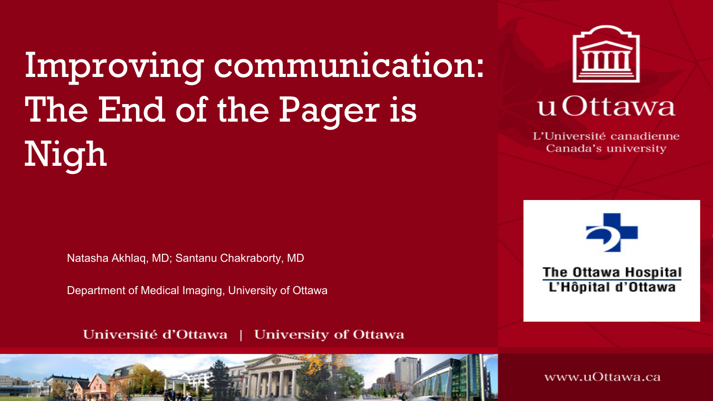# Improving communication: The End of the Pager is Nigh

Natasha Akhlaq, MD; Santanu Chakraborty, MD

Department of Medical Imaging, University of Ottawa

Université d'Ottawa | University of Ottawa

#### u Ottawa

L'Université canadienne Canada's university

**The Ottawa Hospital** L'Hôpital d'Ottawa

www.uOttawa.ca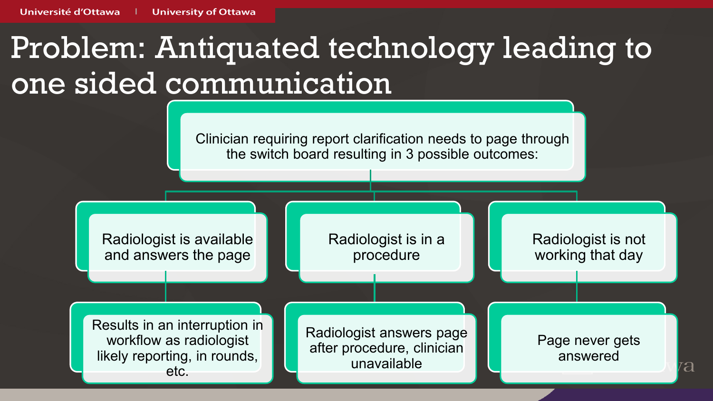## Problem: Antiquated technology leading to one sided communication



a<br>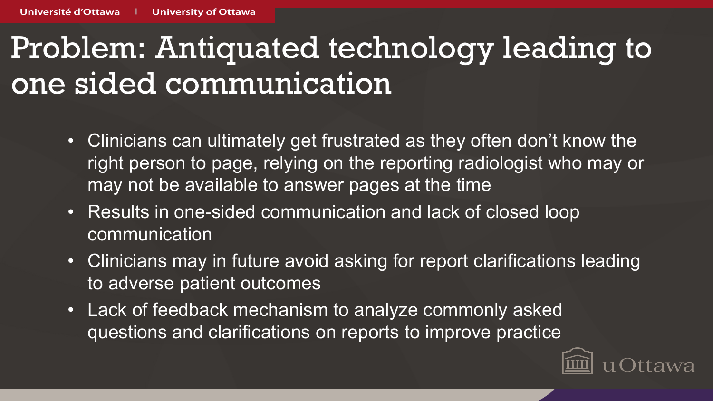### Problem: Antiquated technology leading to one sided communication

- Clinicians can ultimately get frustrated as they often don't know the right person to page, relying on the reporting radiologist who may or may not be available to answer pages at the time
- Results in one-sided communication and lack of closed loop communication
- Clinicians may in future avoid asking for report clarifications leading to adverse patient outcomes
- Lack of feedback mechanism to analyze commonly asked questions and clarifications on reports to improve practice

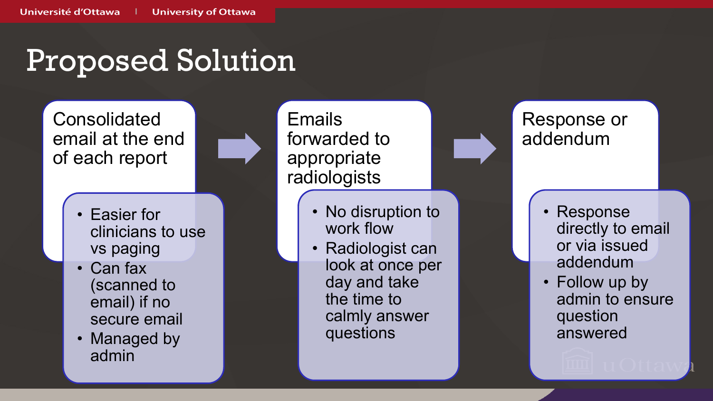#### Proposed Solution

Consolidated email at the end of each report

- Easier for clinicians to use vs paging
- Can fax (scanned to email) if no secure email
- Managed by admin

**Emails** forwarded to appropriate radiologists

- No disruption to work flow
- Radiologist can look at once per day and take the time to calmly answer questions

Response or addendum

- Response directly to email or via issued addendum
- Follow up by admin to ensure question answered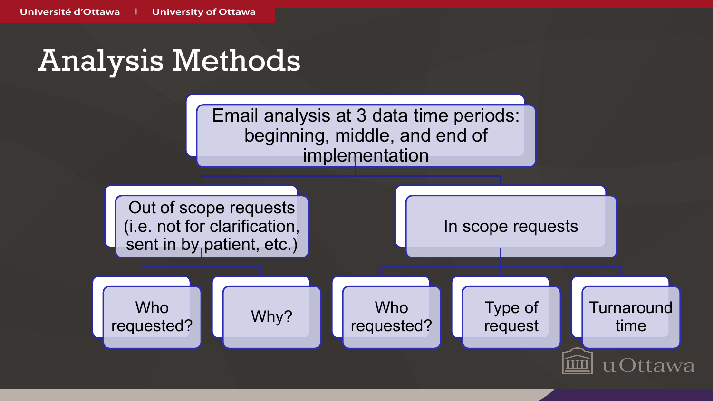#### Analysis Methods



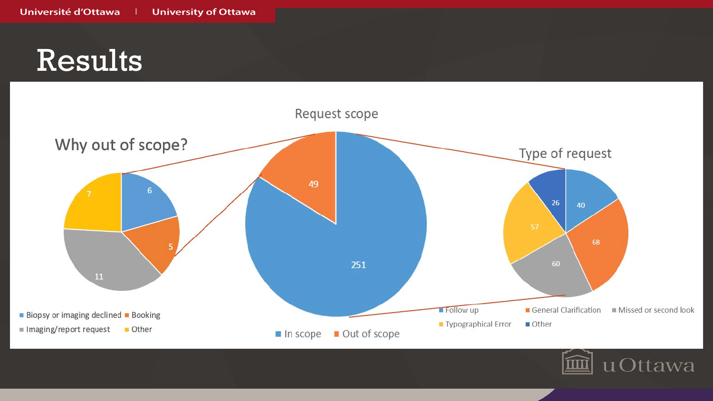### Results



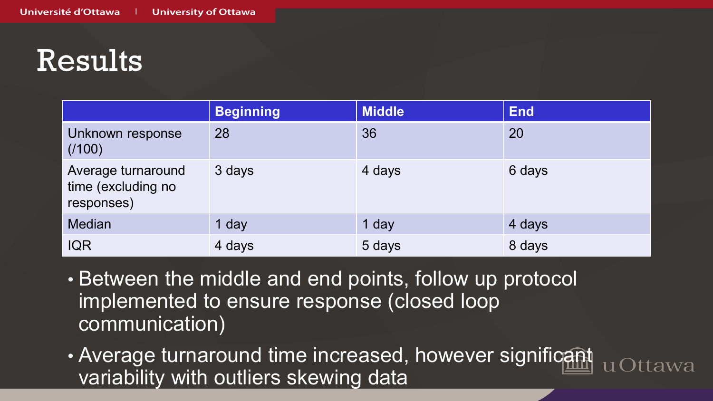## Results

|                                                        | <b>Beginning</b> | <b>Middle</b> | <b>End</b> |
|--------------------------------------------------------|------------------|---------------|------------|
| Unknown response<br>(1100)                             | 28               | 36            | 20         |
| Average turnaround<br>time (excluding no<br>responses) | 3 days           | 4 days        | 6 days     |
| <b>Median</b>                                          | 1 day            | 1 day         | 4 days     |
| <b>IQR</b>                                             | 4 days           | 5 days        | 8 days     |

- Between the middle and end points, follow up protocol implemented to ensure response (closed loop communication)
- Average turnaround time increased, however significant variability with outliers skewing data

wa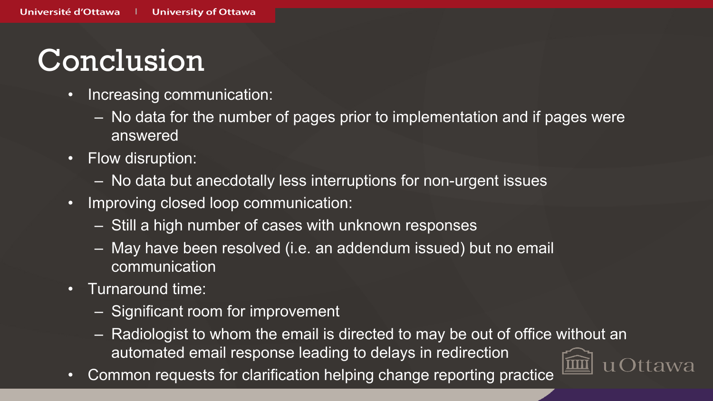## Conclusion

- Increasing communication:
	- No data for the number of pages prior to implementation and if pages were answered
- Flow disruption:
	- No data but anecdotally less interruptions for non-urgent issues
- Improving closed loop communication:
	- Still a high number of cases with unknown responses
	- May have been resolved (i.e. an addendum issued) but no email **communication**
- Turnaround time:
	- Significant room for improvement
	- Radiologist to whom the email is directed to may be out of office without an automated email response leading to delays in redirection
- Common requests for clarification helping change reporting practice

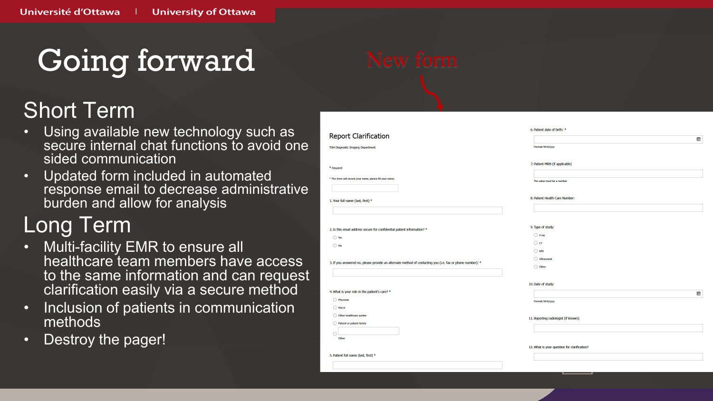Going forward

#### Short Term

- Using available new technology such as secure internal chat functions to avoid one sided communication
- Updated form included in automated response email to decrease administrative burden and allow for analysis

#### Long Term

- Multi-facility EMR to ensure all healthcare team members have access to the same information and can request clarification easily via a secure method
- Inclusion of patients in communication methods
- Destroy the pager!

|                                                                                                           | 6. Patient date of birth: *                  |   |
|-----------------------------------------------------------------------------------------------------------|----------------------------------------------|---|
| <b>Report Clarification</b>                                                                               |                                              | Œ |
| <b>TOH Diagnostic Imaging Department</b>                                                                  | Format: M/d/yyyy                             |   |
|                                                                                                           |                                              |   |
| * Required                                                                                                | 7. Patient MRN (if applicable)               |   |
|                                                                                                           |                                              |   |
| * This form will record your name, please fill your name.                                                 | The value must be a number                   |   |
|                                                                                                           |                                              |   |
| 1. Your full name (last, first) *                                                                         | 8. Patient Health Care Number:               |   |
|                                                                                                           |                                              |   |
|                                                                                                           |                                              |   |
| 2. Is this email address secure for confidential patient information? *                                   | 9. Type of study:                            |   |
| $\bigcirc$ Yes                                                                                            | $\bigcirc$ X ray                             |   |
| $\bigcirc$ No                                                                                             | $\bigcirc$ $\sigma$                          |   |
|                                                                                                           | $\bigcirc$ MRI                               |   |
| 3. If you answered no, please provide an alternate method of contacting you (i.e. fax or phone number): * | ◯ Ultrasound                                 |   |
|                                                                                                           | ◯ Other                                      |   |
|                                                                                                           |                                              |   |
|                                                                                                           | 10. Date of study:                           |   |
| 4. What is your role in the patient's care? *                                                             |                                              | F |
| ◯ Physician<br>$\bigcirc$ Nurse                                                                           | Format: M/d/yyyy                             |   |
| O Other healthcare worker                                                                                 |                                              |   |
| ◯ Patient or patient family                                                                               | 11. Reporting radiologist (if known):        |   |
| O                                                                                                         |                                              |   |
| Other                                                                                                     |                                              |   |
|                                                                                                           | 12. What is your question for clarification? |   |
| 5. Patient full name (last, first) *                                                                      |                                              |   |
|                                                                                                           |                                              |   |